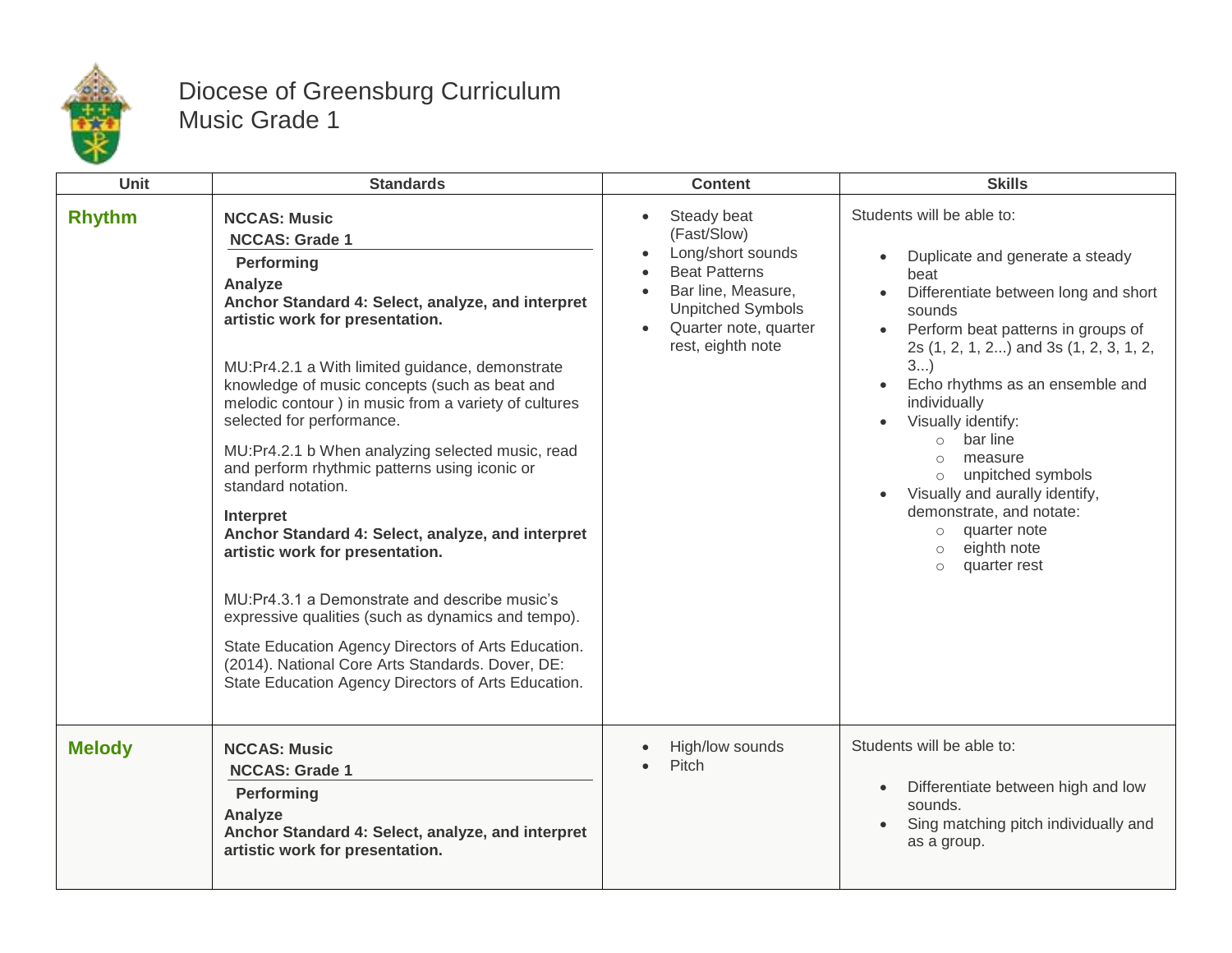

## Diocese of Greensburg Curriculum Music Grade 1

| Unit          | <b>Standards</b>                                                                                                                                                                                                                                                                                                                                                                                                                                                                                                                                                                                                                                                                                                                                                                                                                                                 | <b>Content</b>                                                                                                                                                                       | <b>Skills</b>                                                                                                                                                                                                                                                                                                                                                                                                                                                                                                       |
|---------------|------------------------------------------------------------------------------------------------------------------------------------------------------------------------------------------------------------------------------------------------------------------------------------------------------------------------------------------------------------------------------------------------------------------------------------------------------------------------------------------------------------------------------------------------------------------------------------------------------------------------------------------------------------------------------------------------------------------------------------------------------------------------------------------------------------------------------------------------------------------|--------------------------------------------------------------------------------------------------------------------------------------------------------------------------------------|---------------------------------------------------------------------------------------------------------------------------------------------------------------------------------------------------------------------------------------------------------------------------------------------------------------------------------------------------------------------------------------------------------------------------------------------------------------------------------------------------------------------|
| <b>Rhythm</b> | <b>NCCAS: Music</b><br><b>NCCAS: Grade 1</b><br>Performing<br>Analyze<br>Anchor Standard 4: Select, analyze, and interpret<br>artistic work for presentation.<br>MU:Pr4.2.1 a With limited guidance, demonstrate<br>knowledge of music concepts (such as beat and<br>melodic contour ) in music from a variety of cultures<br>selected for performance.<br>MU:Pr4.2.1 b When analyzing selected music, read<br>and perform rhythmic patterns using iconic or<br>standard notation.<br>Interpret<br>Anchor Standard 4: Select, analyze, and interpret<br>artistic work for presentation.<br>MU:Pr4.3.1 a Demonstrate and describe music's<br>expressive qualities (such as dynamics and tempo).<br>State Education Agency Directors of Arts Education.<br>(2014). National Core Arts Standards. Dover, DE:<br>State Education Agency Directors of Arts Education. | Steady beat<br>$\bullet$<br>(Fast/Slow)<br>Long/short sounds<br><b>Beat Patterns</b><br>Bar line, Measure,<br><b>Unpitched Symbols</b><br>Quarter note, quarter<br>rest, eighth note | Students will be able to:<br>Duplicate and generate a steady<br>beat<br>Differentiate between long and short<br>$\bullet$<br>sounds<br>Perform beat patterns in groups of<br>2s (1, 2, 1, 2) and 3s (1, 2, 3, 1, 2,<br>3<br>Echo rhythms as an ensemble and<br>individually<br>Visually identify:<br>bar line<br>$\circ$<br>measure<br>$\circ$<br>unpitched symbols<br>$\circ$<br>Visually and aurally identify,<br>demonstrate, and notate:<br>o quarter note<br>eighth note<br>$\circ$<br>quarter rest<br>$\circ$ |
| <b>Melody</b> | <b>NCCAS: Music</b><br><b>NCCAS: Grade 1</b><br>Performing<br>Analyze<br>Anchor Standard 4: Select, analyze, and interpret<br>artistic work for presentation.                                                                                                                                                                                                                                                                                                                                                                                                                                                                                                                                                                                                                                                                                                    | High/low sounds<br>Pitch                                                                                                                                                             | Students will be able to:<br>Differentiate between high and low<br>$\bullet$<br>sounds.<br>Sing matching pitch individually and<br>as a group.                                                                                                                                                                                                                                                                                                                                                                      |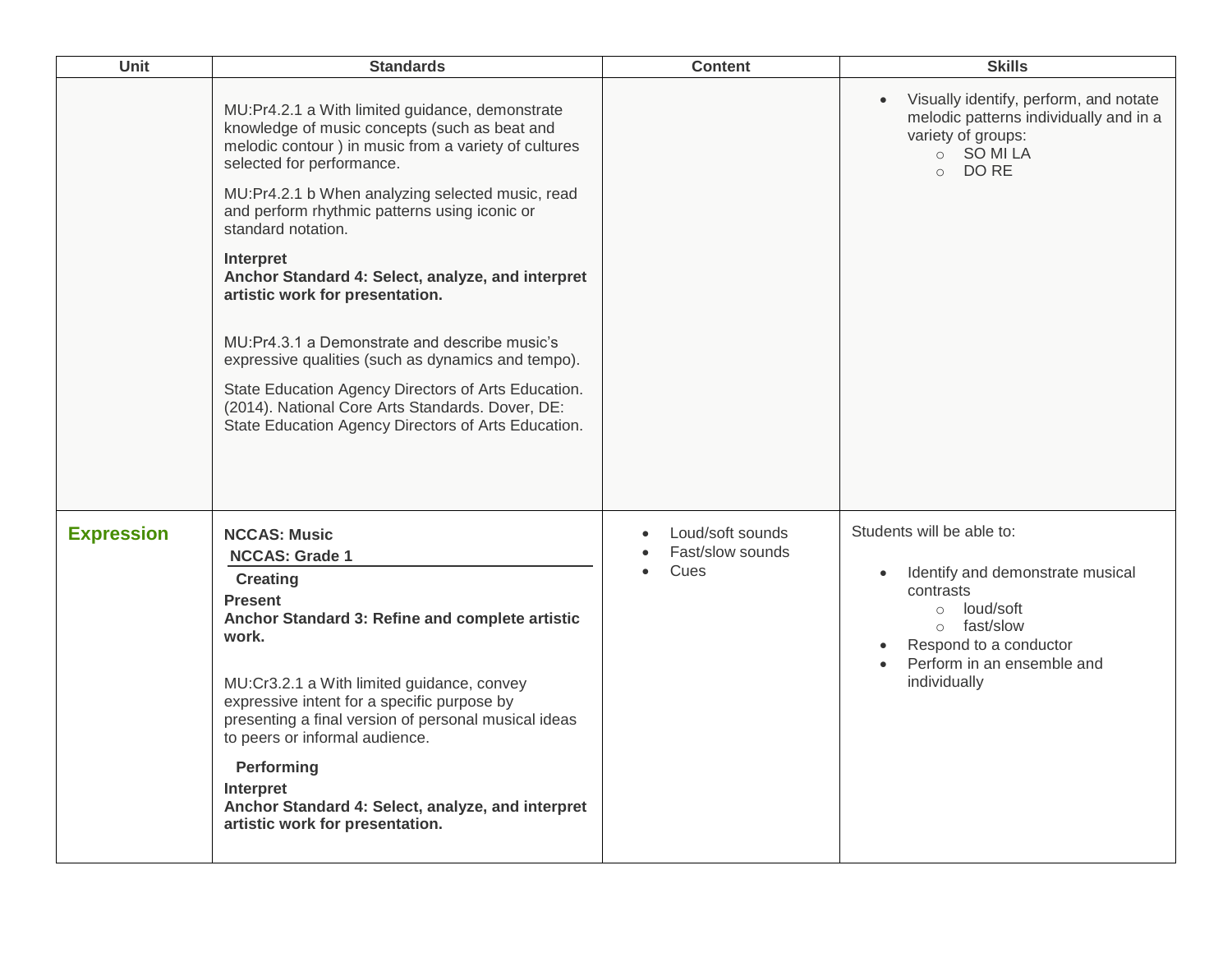| Unit              | <b>Standards</b>                                                                                                                                                                                                                                                                                                                                                                                                                                                                                                                                                                                                                                                                                       | <b>Content</b>                                                         | <b>Skills</b>                                                                                                                                                                                 |
|-------------------|--------------------------------------------------------------------------------------------------------------------------------------------------------------------------------------------------------------------------------------------------------------------------------------------------------------------------------------------------------------------------------------------------------------------------------------------------------------------------------------------------------------------------------------------------------------------------------------------------------------------------------------------------------------------------------------------------------|------------------------------------------------------------------------|-----------------------------------------------------------------------------------------------------------------------------------------------------------------------------------------------|
|                   | MU:Pr4.2.1 a With limited guidance, demonstrate<br>knowledge of music concepts (such as beat and<br>melodic contour ) in music from a variety of cultures<br>selected for performance.<br>MU:Pr4.2.1 b When analyzing selected music, read<br>and perform rhythmic patterns using iconic or<br>standard notation.<br><b>Interpret</b><br>Anchor Standard 4: Select, analyze, and interpret<br>artistic work for presentation.<br>MU:Pr4.3.1 a Demonstrate and describe music's<br>expressive qualities (such as dynamics and tempo).<br>State Education Agency Directors of Arts Education.<br>(2014). National Core Arts Standards. Dover, DE:<br>State Education Agency Directors of Arts Education. |                                                                        | Visually identify, perform, and notate<br>melodic patterns individually and in a<br>variety of groups:<br>O SOMILA<br>$\circ$ DO RE                                                           |
| <b>Expression</b> | <b>NCCAS: Music</b><br><b>NCCAS: Grade 1</b><br><b>Creating</b><br><b>Present</b><br>Anchor Standard 3: Refine and complete artistic<br>work.<br>MU:Cr3.2.1 a With limited guidance, convey<br>expressive intent for a specific purpose by<br>presenting a final version of personal musical ideas<br>to peers or informal audience.<br>Performing<br>Interpret<br>Anchor Standard 4: Select, analyze, and interpret<br>artistic work for presentation.                                                                                                                                                                                                                                                | Loud/soft sounds<br>$\bullet$<br>Fast/slow sounds<br>Cues<br>$\bullet$ | Students will be able to:<br>Identify and demonstrate musical<br>$\bullet$<br>contrasts<br>o loud/soft<br>o fast/slow<br>Respond to a conductor<br>Perform in an ensemble and<br>individually |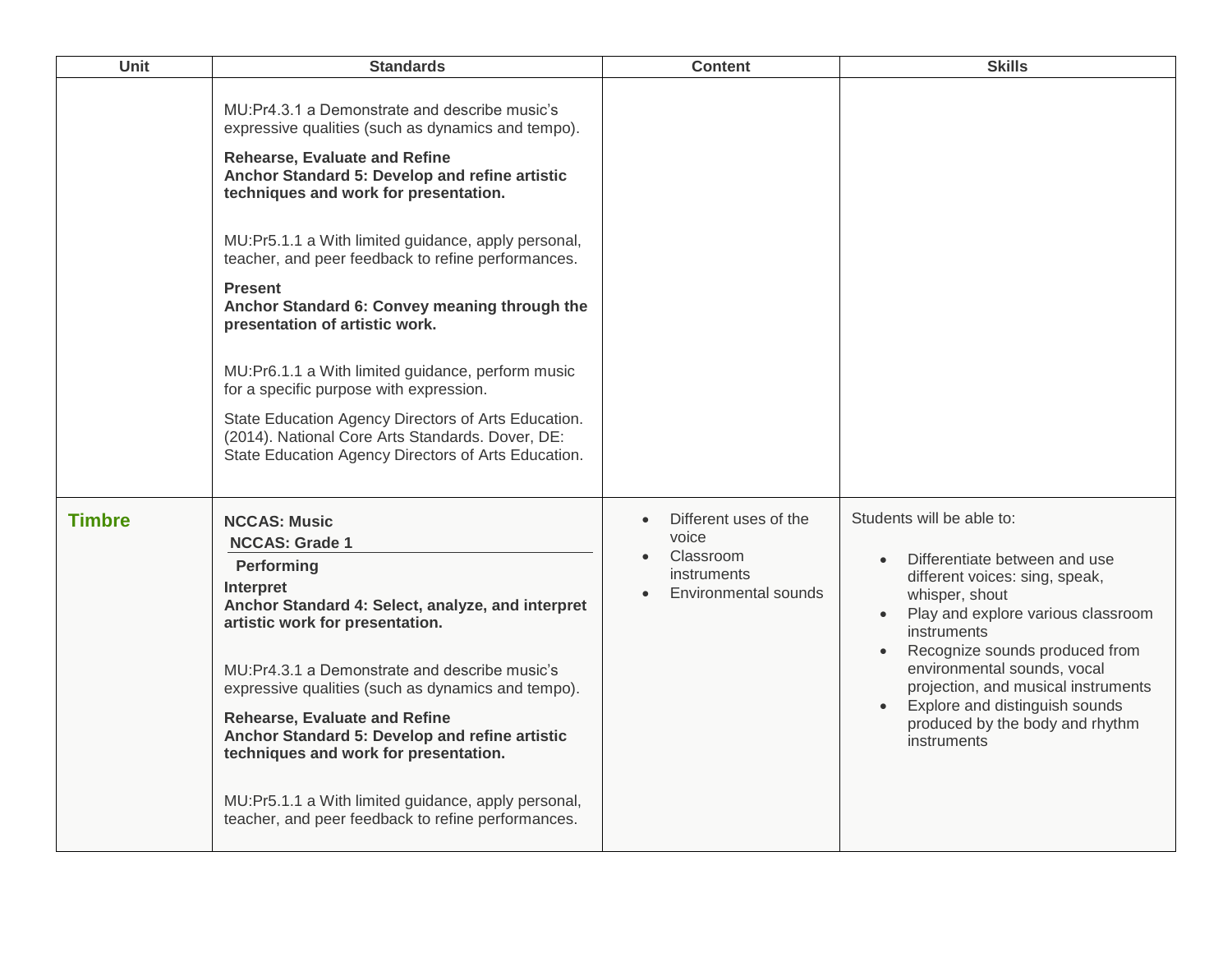| <b>Unit</b>   | <b>Standards</b>                                                                                                                                                                                                                                                                                                                                                                                                                                                                                                                                                                                                                                                                                                            | <b>Content</b>                                                                                         | <b>Skills</b>                                                                                                                                                                                                                                                                                                                                                   |
|---------------|-----------------------------------------------------------------------------------------------------------------------------------------------------------------------------------------------------------------------------------------------------------------------------------------------------------------------------------------------------------------------------------------------------------------------------------------------------------------------------------------------------------------------------------------------------------------------------------------------------------------------------------------------------------------------------------------------------------------------------|--------------------------------------------------------------------------------------------------------|-----------------------------------------------------------------------------------------------------------------------------------------------------------------------------------------------------------------------------------------------------------------------------------------------------------------------------------------------------------------|
|               | MU: Pr4.3.1 a Demonstrate and describe music's<br>expressive qualities (such as dynamics and tempo).<br><b>Rehearse, Evaluate and Refine</b><br>Anchor Standard 5: Develop and refine artistic<br>techniques and work for presentation.<br>MU:Pr5.1.1 a With limited guidance, apply personal,<br>teacher, and peer feedback to refine performances.<br><b>Present</b><br>Anchor Standard 6: Convey meaning through the<br>presentation of artistic work.<br>MU:Pr6.1.1 a With limited guidance, perform music<br>for a specific purpose with expression.<br>State Education Agency Directors of Arts Education.<br>(2014). National Core Arts Standards. Dover, DE:<br>State Education Agency Directors of Arts Education. |                                                                                                        |                                                                                                                                                                                                                                                                                                                                                                 |
| <b>Timbre</b> | <b>NCCAS: Music</b><br><b>NCCAS: Grade 1</b><br>Performing<br>Interpret<br>Anchor Standard 4: Select, analyze, and interpret<br>artistic work for presentation.<br>MU:Pr4.3.1 a Demonstrate and describe music's<br>expressive qualities (such as dynamics and tempo).<br><b>Rehearse, Evaluate and Refine</b><br>Anchor Standard 5: Develop and refine artistic<br>techniques and work for presentation.<br>MU:Pr5.1.1 a With limited guidance, apply personal,<br>teacher, and peer feedback to refine performances.                                                                                                                                                                                                      | Different uses of the<br>$\bullet$<br>voice<br>Classroom<br><i>instruments</i><br>Environmental sounds | Students will be able to:<br>Differentiate between and use<br>different voices: sing, speak,<br>whisper, shout<br>Play and explore various classroom<br>instruments<br>Recognize sounds produced from<br>environmental sounds, vocal<br>projection, and musical instruments<br>Explore and distinguish sounds<br>produced by the body and rhythm<br>instruments |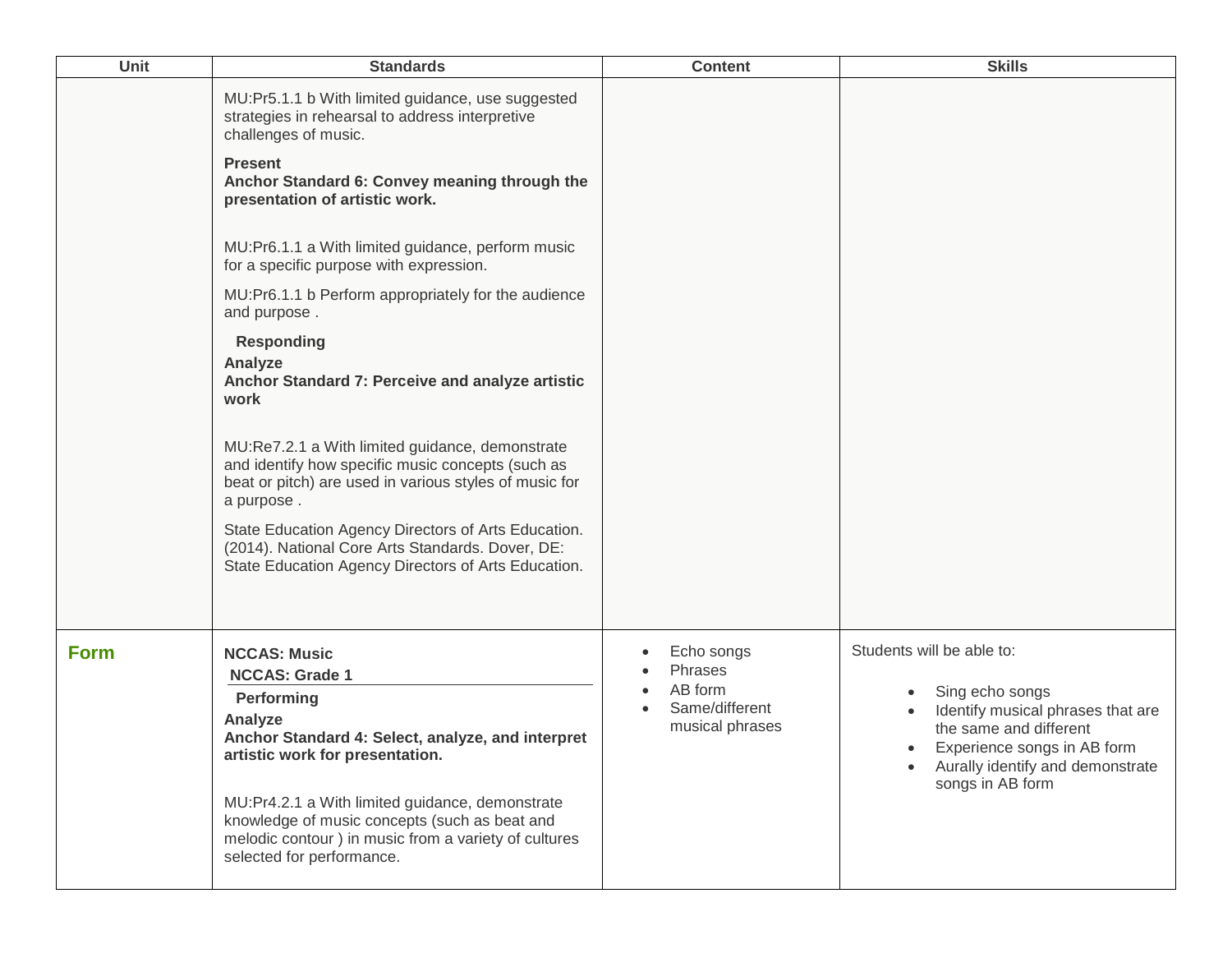| <b>Unit</b> | <b>Standards</b>                                                                                                                                                                                                                                                                                                                                                                                                                                                                                                                                                                                                                                                                                                                                                                                                                                       | <b>Content</b>                                                        | <b>Skills</b>                                                                                                                                                                                                   |
|-------------|--------------------------------------------------------------------------------------------------------------------------------------------------------------------------------------------------------------------------------------------------------------------------------------------------------------------------------------------------------------------------------------------------------------------------------------------------------------------------------------------------------------------------------------------------------------------------------------------------------------------------------------------------------------------------------------------------------------------------------------------------------------------------------------------------------------------------------------------------------|-----------------------------------------------------------------------|-----------------------------------------------------------------------------------------------------------------------------------------------------------------------------------------------------------------|
|             | MU:Pr5.1.1 b With limited guidance, use suggested<br>strategies in rehearsal to address interpretive<br>challenges of music.<br><b>Present</b><br>Anchor Standard 6: Convey meaning through the<br>presentation of artistic work.<br>MU:Pr6.1.1 a With limited guidance, perform music<br>for a specific purpose with expression.<br>MU:Pr6.1.1 b Perform appropriately for the audience<br>and purpose.<br><b>Responding</b><br>Analyze<br>Anchor Standard 7: Perceive and analyze artistic<br>work<br>MU:Re7.2.1 a With limited guidance, demonstrate<br>and identify how specific music concepts (such as<br>beat or pitch) are used in various styles of music for<br>a purpose.<br>State Education Agency Directors of Arts Education.<br>(2014). National Core Arts Standards. Dover, DE:<br>State Education Agency Directors of Arts Education. |                                                                       |                                                                                                                                                                                                                 |
| <b>Form</b> | <b>NCCAS: Music</b><br><b>NCCAS: Grade 1</b><br>Performing<br>Analyze<br>Anchor Standard 4: Select, analyze, and interpret<br>artistic work for presentation.<br>MU:Pr4.2.1 a With limited guidance, demonstrate<br>knowledge of music concepts (such as beat and<br>melodic contour) in music from a variety of cultures<br>selected for performance.                                                                                                                                                                                                                                                                                                                                                                                                                                                                                                 | Echo songs<br>Phrases<br>AB form<br>Same/different<br>musical phrases | Students will be able to:<br>Sing echo songs<br>Identify musical phrases that are<br>the same and different<br>Experience songs in AB form<br>$\bullet$<br>Aurally identify and demonstrate<br>songs in AB form |